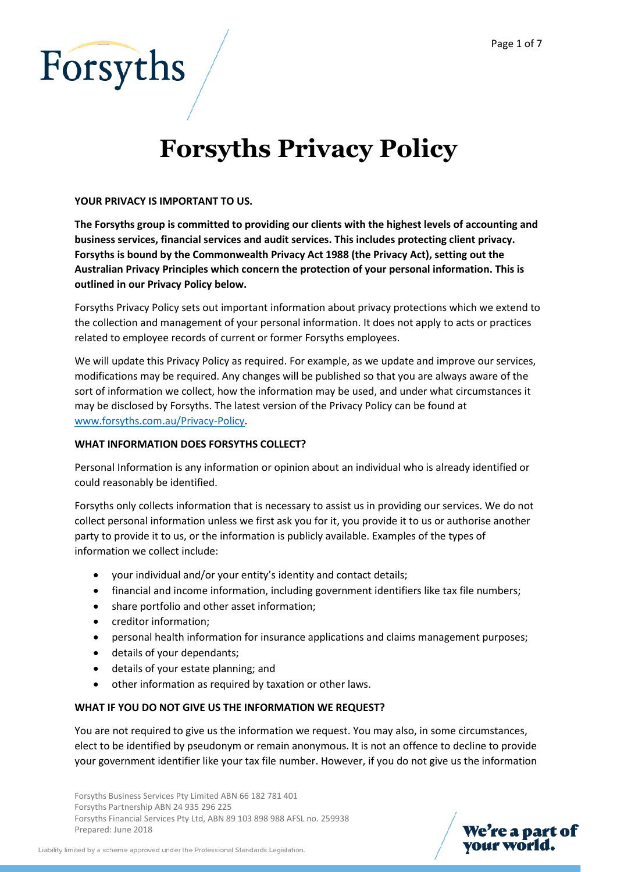

# **Forsyths Privacy Policy**

# **YOUR PRIVACY IS IMPORTANT TO US.**

**The Forsyths group is committed to providing our clients with the highest levels of accounting and business services, financial services and audit services. This includes protecting client privacy. Forsyths is bound by the Commonwealth Privacy Act 1988 (the Privacy Act), setting out the Australian Privacy Principles which concern the protection of your personal information. This is outlined in our Privacy Policy below.**

Forsyths Privacy Policy sets out important information about privacy protections which we extend to the collection and management of your personal information. It does not apply to acts or practices related to employee records of current or former Forsyths employees.

We will update this Privacy Policy as required. For example, as we update and improve our services, modifications may be required. Any changes will be published so that you are always aware of the sort of information we collect, how the information may be used, and under what circumstances it may be disclosed by Forsyths. The latest version of the Privacy Policy can be found at [www.forsyths.com.au/Privacy-Policy.](http://www.forsyths.com.au/Privacy-Policy)

# **WHAT INFORMATION DOES FORSYTHS COLLECT?**

Personal Information is any information or opinion about an individual who is already identified or could reasonably be identified.

Forsyths only collects information that is necessary to assist us in providing our services. We do not collect personal information unless we first ask you for it, you provide it to us or authorise another party to provide it to us, or the information is publicly available. Examples of the types of information we collect include:

- your individual and/or your entity's identity and contact details;
- financial and income information, including government identifiers like tax file numbers;
- share portfolio and other asset information;
- creditor information:
- personal health information for insurance applications and claims management purposes;
- details of your dependants;
- details of your estate planning; and
- other information as required by taxation or other laws.

# **WHAT IF YOU DO NOT GIVE US THE INFORMATION WE REQUEST?**

You are not required to give us the information we request. You may also, in some circumstances, elect to be identified by pseudonym or remain anonymous. It is not an offence to decline to provide your government identifier like your tax file number. However, if you do not give us the information

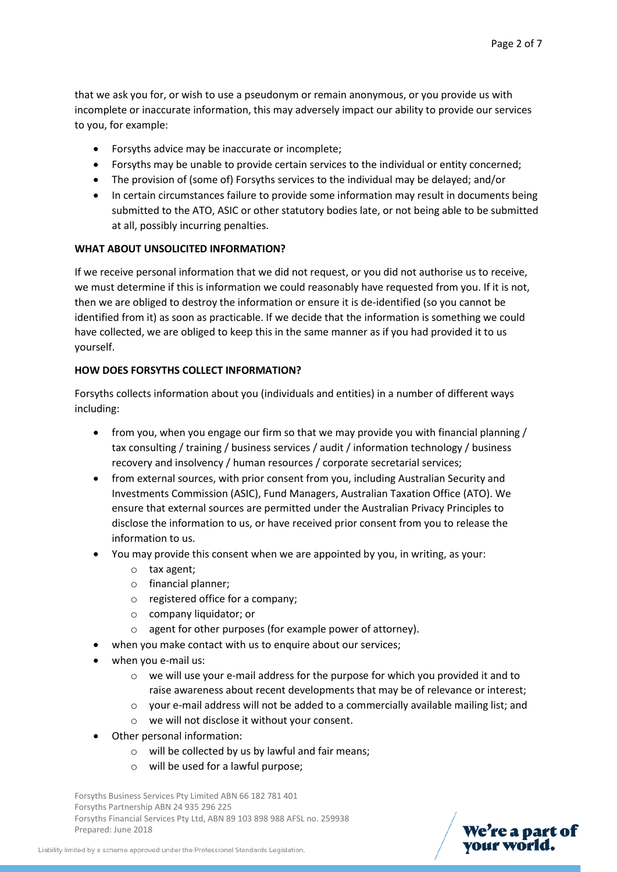that we ask you for, or wish to use a pseudonym or remain anonymous, or you provide us with incomplete or inaccurate information, this may adversely impact our ability to provide our services to you, for example:

- Forsyths advice may be inaccurate or incomplete;
- Forsyths may be unable to provide certain services to the individual or entity concerned;
- The provision of (some of) Forsyths services to the individual may be delayed; and/or
- In certain circumstances failure to provide some information may result in documents being submitted to the ATO, ASIC or other statutory bodies late, or not being able to be submitted at all, possibly incurring penalties.

# **WHAT ABOUT UNSOLICITED INFORMATION?**

If we receive personal information that we did not request, or you did not authorise us to receive, we must determine if this is information we could reasonably have requested from you. If it is not, then we are obliged to destroy the information or ensure it is de-identified (so you cannot be identified from it) as soon as practicable. If we decide that the information is something we could have collected, we are obliged to keep this in the same manner as if you had provided it to us yourself.

# **HOW DOES FORSYTHS COLLECT INFORMATION?**

Forsyths collects information about you (individuals and entities) in a number of different ways including:

- from you, when you engage our firm so that we may provide you with financial planning / tax consulting / training / business services / audit / information technology / business recovery and insolvency / human resources / corporate secretarial services;
- from external sources, with prior consent from you, including Australian Security and Investments Commission (ASIC), Fund Managers, Australian Taxation Office (ATO). We ensure that external sources are permitted under the Australian Privacy Principles to disclose the information to us, or have received prior consent from you to release the information to us.
- You may provide this consent when we are appointed by you, in writing, as your:
	- o tax agent;
	- o financial planner;
	- o registered office for a company;
	- o company liquidator; or
	- o agent for other purposes (for example power of attorney).
- when you make contact with us to enquire about our services;
- when you e-mail us:
	- o we will use your e-mail address for the purpose for which you provided it and to raise awareness about recent developments that may be of relevance or interest;
	- o your e-mail address will not be added to a commercially available mailing list; and
	- o we will not disclose it without your consent.
- Other personal information:
	- o will be collected by us by lawful and fair means;
	- o will be used for a lawful purpose;

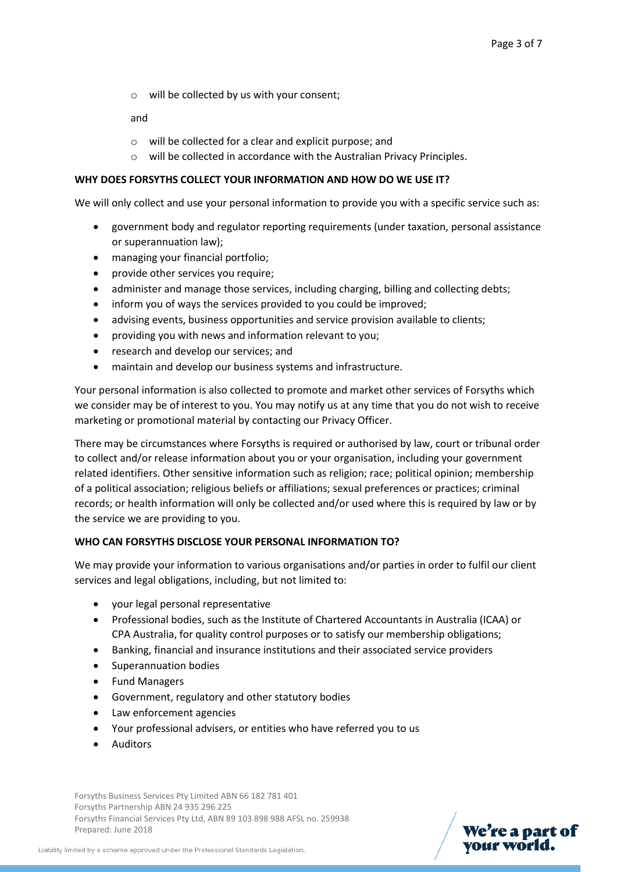o will be collected by us with your consent;

and

- o will be collected for a clear and explicit purpose; and
- o will be collected in accordance with the Australian Privacy Principles.

#### **WHY DOES FORSYTHS COLLECT YOUR INFORMATION AND HOW DO WE USE IT?**

We will only collect and use your personal information to provide you with a specific service such as:

- government body and regulator reporting requirements (under taxation, personal assistance or superannuation law);
- managing your financial portfolio;
- provide other services you require;
- administer and manage those services, including charging, billing and collecting debts;
- inform you of ways the services provided to you could be improved;
- advising events, business opportunities and service provision available to clients;
- providing you with news and information relevant to you;
- research and develop our services; and
- maintain and develop our business systems and infrastructure.

Your personal information is also collected to promote and market other services of Forsyths which we consider may be of interest to you. You may notify us at any time that you do not wish to receive marketing or promotional material by contacting our Privacy Officer.

There may be circumstances where Forsyths is required or authorised by law, court or tribunal order to collect and/or release information about you or your organisation, including your government related identifiers. Other sensitive information such as religion; race; political opinion; membership of a political association; religious beliefs or affiliations; sexual preferences or practices; criminal records; or health information will only be collected and/or used where this is required by law or by the service we are providing to you.

# **WHO CAN FORSYTHS DISCLOSE YOUR PERSONAL INFORMATION TO?**

We may provide your information to various organisations and/or parties in order to fulfil our client services and legal obligations, including, but not limited to:

- your legal personal representative
- Professional bodies, such as the Institute of Chartered Accountants in Australia (ICAA) or CPA Australia, for quality control purposes or to satisfy our membership obligations;
- Banking, financial and insurance institutions and their associated service providers
- Superannuation bodies
- Fund Managers
- Government, regulatory and other statutory bodies
- Law enforcement agencies
- Your professional advisers, or entities who have referred you to us
- Auditors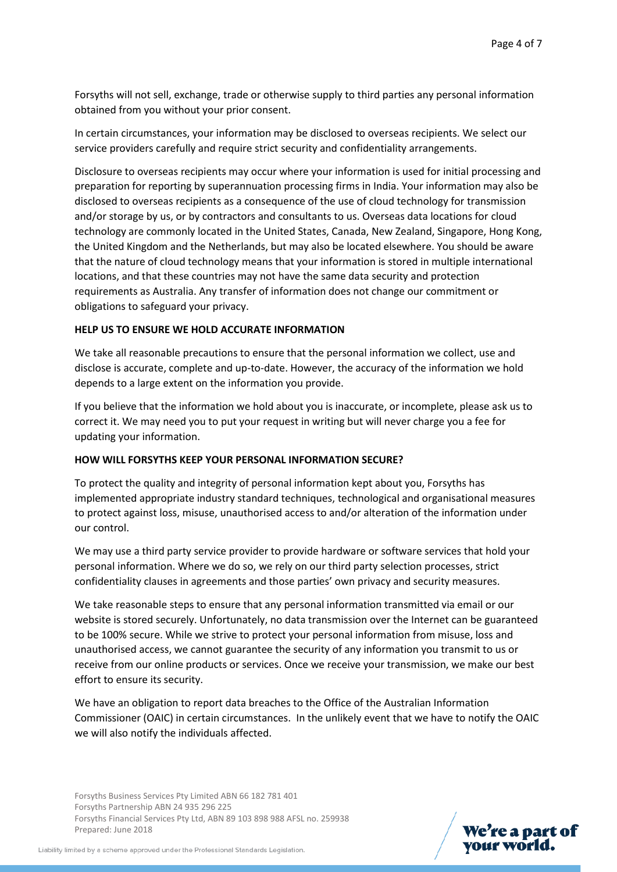Forsyths will not sell, exchange, trade or otherwise supply to third parties any personal information obtained from you without your prior consent.

In certain circumstances, your information may be disclosed to overseas recipients. We select our service providers carefully and require strict security and confidentiality arrangements.

Disclosure to overseas recipients may occur where your information is used for initial processing and preparation for reporting by superannuation processing firms in India. Your information may also be disclosed to overseas recipients as a consequence of the use of cloud technology for transmission and/or storage by us, or by contractors and consultants to us. Overseas data locations for cloud technology are commonly located in the United States, Canada, New Zealand, Singapore, Hong Kong, the United Kingdom and the Netherlands, but may also be located elsewhere. You should be aware that the nature of cloud technology means that your information is stored in multiple international locations, and that these countries may not have the same data security and protection requirements as Australia. Any transfer of information does not change our commitment or obligations to safeguard your privacy.

#### **HELP US TO ENSURE WE HOLD ACCURATE INFORMATION**

We take all reasonable precautions to ensure that the personal information we collect, use and disclose is accurate, complete and up-to-date. However, the accuracy of the information we hold depends to a large extent on the information you provide.

If you believe that the information we hold about you is inaccurate, or incomplete, please ask us to correct it. We may need you to put your request in writing but will never charge you a fee for updating your information.

#### **HOW WILL FORSYTHS KEEP YOUR PERSONAL INFORMATION SECURE?**

To protect the quality and integrity of personal information kept about you, Forsyths has implemented appropriate industry standard techniques, technological and organisational measures to protect against loss, misuse, unauthorised access to and/or alteration of the information under our control.

We may use a third party service provider to provide hardware or software services that hold your personal information. Where we do so, we rely on our third party selection processes, strict confidentiality clauses in agreements and those parties' own privacy and security measures.

We take reasonable steps to ensure that any personal information transmitted via email or our website is stored securely. Unfortunately, no data transmission over the Internet can be guaranteed to be 100% secure. While we strive to protect your personal information from misuse, loss and unauthorised access, we cannot guarantee the security of any information you transmit to us or receive from our online products or services. Once we receive your transmission, we make our best effort to ensure its security.

We have an obligation to report data breaches to the Office of the Australian Information Commissioner (OAIC) in certain circumstances. In the unlikely event that we have to notify the OAIC we will also notify the individuals affected.

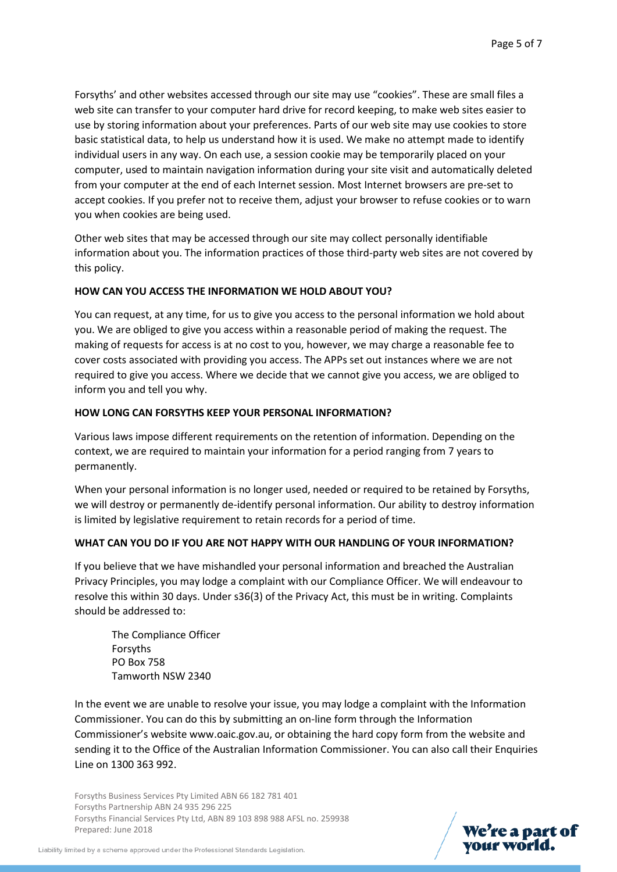Forsyths' and other websites accessed through our site may use "cookies". These are small files a web site can transfer to your computer hard drive for record keeping, to make web sites easier to use by storing information about your preferences. Parts of our web site may use cookies to store basic statistical data, to help us understand how it is used. We make no attempt made to identify individual users in any way. On each use, a session cookie may be temporarily placed on your computer, used to maintain navigation information during your site visit and automatically deleted from your computer at the end of each Internet session. Most Internet browsers are pre-set to accept cookies. If you prefer not to receive them, adjust your browser to refuse cookies or to warn you when cookies are being used.

Other web sites that may be accessed through our site may collect personally identifiable information about you. The information practices of those third-party web sites are not covered by this policy.

# **HOW CAN YOU ACCESS THE INFORMATION WE HOLD ABOUT YOU?**

You can request, at any time, for us to give you access to the personal information we hold about you. We are obliged to give you access within a reasonable period of making the request. The making of requests for access is at no cost to you, however, we may charge a reasonable fee to cover costs associated with providing you access. The APPs set out instances where we are not required to give you access. Where we decide that we cannot give you access, we are obliged to inform you and tell you why.

# **HOW LONG CAN FORSYTHS KEEP YOUR PERSONAL INFORMATION?**

Various laws impose different requirements on the retention of information. Depending on the context, we are required to maintain your information for a period ranging from 7 years to permanently.

When your personal information is no longer used, needed or required to be retained by Forsyths, we will destroy or permanently de-identify personal information. Our ability to destroy information is limited by legislative requirement to retain records for a period of time.

# **WHAT CAN YOU DO IF YOU ARE NOT HAPPY WITH OUR HANDLING OF YOUR INFORMATION?**

If you believe that we have mishandled your personal information and breached the Australian Privacy Principles, you may lodge a complaint with our Compliance Officer. We will endeavour to resolve this within 30 days. Under s36(3) of the Privacy Act, this must be in writing. Complaints should be addressed to:

The Compliance Officer Forsyths PO Box 758 Tamworth NSW 2340

In the event we are unable to resolve your issue, you may lodge a complaint with the Information Commissioner. You can do this by submitting an on-line form through the Information Commissioner's website www.oaic.gov.au, or obtaining the hard copy form from the website and sending it to the Office of the Australian Information Commissioner. You can also call their Enquiries Line on 1300 363 992.

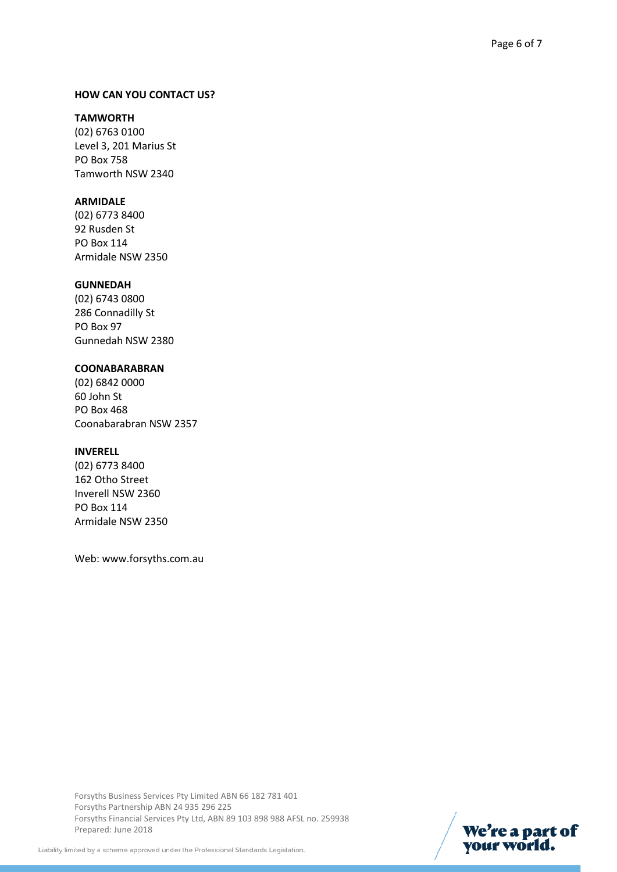#### **HOW CAN YOU CONTACT US?**

#### **TAMWORTH**

(02) 6763 0100 Level 3, 201 Marius St PO Box 758 Tamworth NSW 2340

# **ARMIDALE**

(02) 6773 8400 92 Rusden St PO Box 114 Armidale NSW 2350

#### **GUNNEDAH**

(02) 6743 0800 286 Connadilly St PO Box 97 Gunnedah NSW 2380

#### **COONABARABRAN**

(02) 6842 0000 60 John St PO Box 468 Coonabarabran NSW 2357

#### **INVERELL**

(02) 6773 8400 162 Otho Street Inverell NSW 2360 PO Box 114 Armidale NSW 2350

Web: www.forsyths.com.au